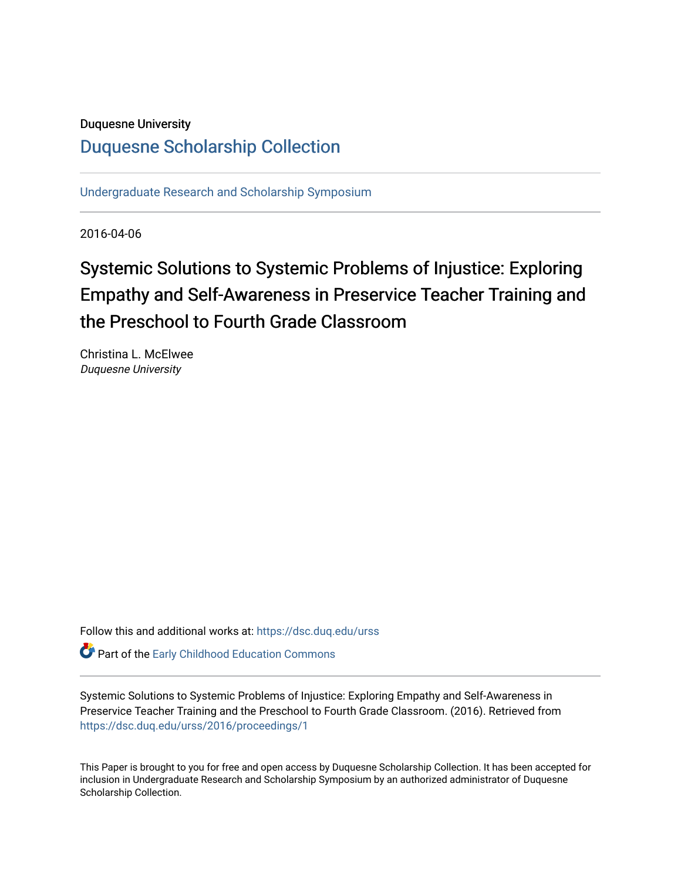### Duquesne University

## [Duquesne Scholarship Collection](https://dsc.duq.edu/)

[Undergraduate Research and Scholarship Symposium](https://dsc.duq.edu/urss)

2016-04-06

# Systemic Solutions to Systemic Problems of Injustice: Exploring Empathy and Self-Awareness in Preservice Teacher Training and the Preschool to Fourth Grade Classroom

Christina L. McElwee Duquesne University

Follow this and additional works at: [https://dsc.duq.edu/urss](https://dsc.duq.edu/urss?utm_source=dsc.duq.edu%2Furss%2F2016%2Fproceedings%2F1&utm_medium=PDF&utm_campaign=PDFCoverPages)

Part of the [Early Childhood Education Commons](http://network.bepress.com/hgg/discipline/1377?utm_source=dsc.duq.edu%2Furss%2F2016%2Fproceedings%2F1&utm_medium=PDF&utm_campaign=PDFCoverPages) 

Systemic Solutions to Systemic Problems of Injustice: Exploring Empathy and Self-Awareness in Preservice Teacher Training and the Preschool to Fourth Grade Classroom. (2016). Retrieved from [https://dsc.duq.edu/urss/2016/proceedings/1](https://dsc.duq.edu/urss/2016/proceedings/1?utm_source=dsc.duq.edu%2Furss%2F2016%2Fproceedings%2F1&utm_medium=PDF&utm_campaign=PDFCoverPages) 

This Paper is brought to you for free and open access by Duquesne Scholarship Collection. It has been accepted for inclusion in Undergraduate Research and Scholarship Symposium by an authorized administrator of Duquesne Scholarship Collection.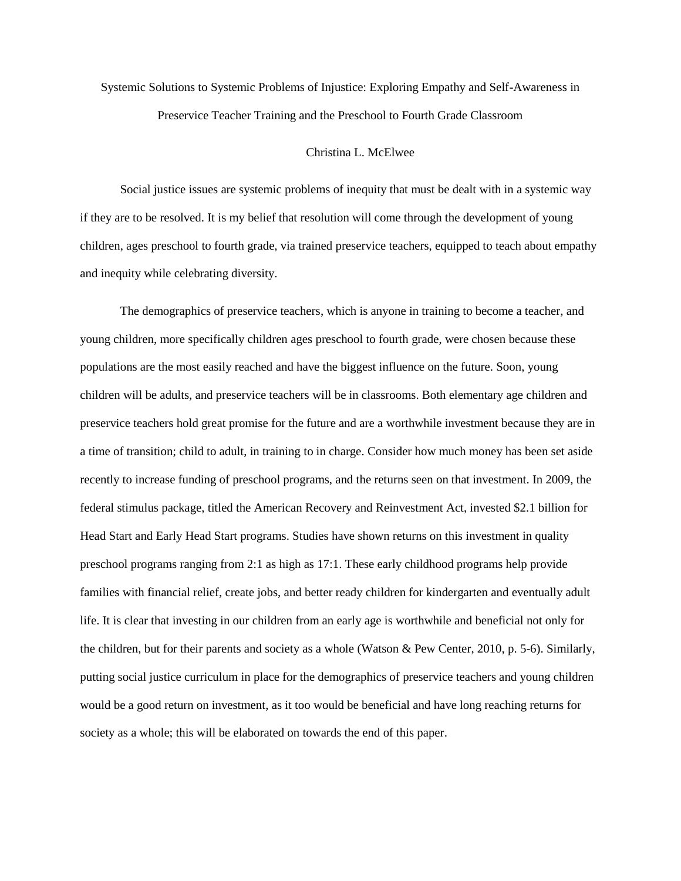Systemic Solutions to Systemic Problems of Injustice: Exploring Empathy and Self-Awareness in Preservice Teacher Training and the Preschool to Fourth Grade Classroom

#### Christina L. McElwee

Social justice issues are systemic problems of inequity that must be dealt with in a systemic way if they are to be resolved. It is my belief that resolution will come through the development of young children, ages preschool to fourth grade, via trained preservice teachers, equipped to teach about empathy and inequity while celebrating diversity.

The demographics of preservice teachers, which is anyone in training to become a teacher, and young children, more specifically children ages preschool to fourth grade, were chosen because these populations are the most easily reached and have the biggest influence on the future. Soon, young children will be adults, and preservice teachers will be in classrooms. Both elementary age children and preservice teachers hold great promise for the future and are a worthwhile investment because they are in a time of transition; child to adult, in training to in charge. Consider how much money has been set aside recently to increase funding of preschool programs, and the returns seen on that investment. In 2009, the federal stimulus package, titled the American Recovery and Reinvestment Act, invested \$2.1 billion for Head Start and Early Head Start programs. Studies have shown returns on this investment in quality preschool programs ranging from 2:1 as high as 17:1. These early childhood programs help provide families with financial relief, create jobs, and better ready children for kindergarten and eventually adult life. It is clear that investing in our children from an early age is worthwhile and beneficial not only for the children, but for their parents and society as a whole (Watson & Pew Center, 2010, p. 5-6). Similarly, putting social justice curriculum in place for the demographics of preservice teachers and young children would be a good return on investment, as it too would be beneficial and have long reaching returns for society as a whole; this will be elaborated on towards the end of this paper.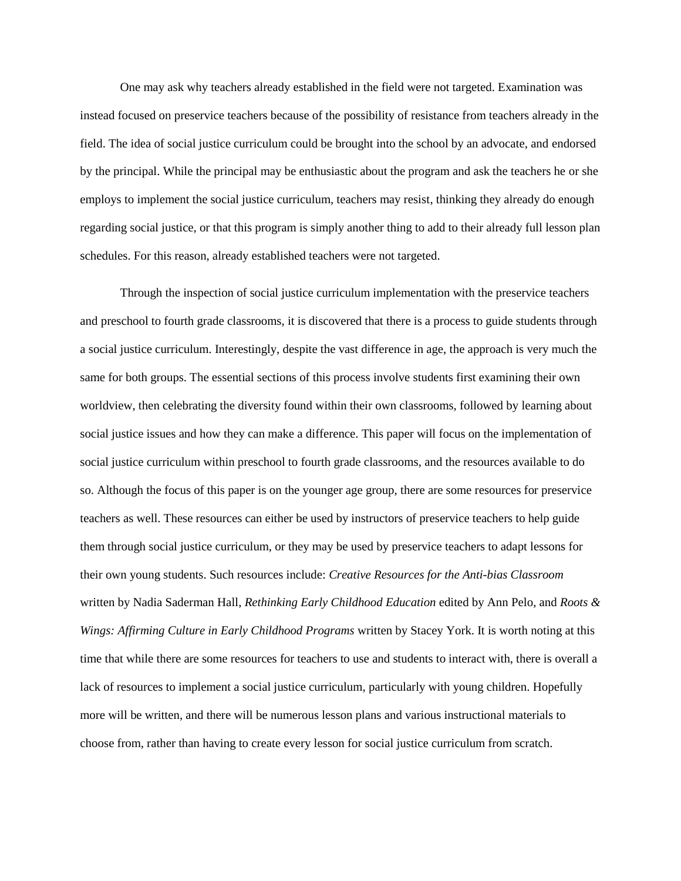One may ask why teachers already established in the field were not targeted. Examination was instead focused on preservice teachers because of the possibility of resistance from teachers already in the field. The idea of social justice curriculum could be brought into the school by an advocate, and endorsed by the principal. While the principal may be enthusiastic about the program and ask the teachers he or she employs to implement the social justice curriculum, teachers may resist, thinking they already do enough regarding social justice, or that this program is simply another thing to add to their already full lesson plan schedules. For this reason, already established teachers were not targeted.

Through the inspection of social justice curriculum implementation with the preservice teachers and preschool to fourth grade classrooms, it is discovered that there is a process to guide students through a social justice curriculum. Interestingly, despite the vast difference in age, the approach is very much the same for both groups. The essential sections of this process involve students first examining their own worldview, then celebrating the diversity found within their own classrooms, followed by learning about social justice issues and how they can make a difference. This paper will focus on the implementation of social justice curriculum within preschool to fourth grade classrooms, and the resources available to do so. Although the focus of this paper is on the younger age group, there are some resources for preservice teachers as well. These resources can either be used by instructors of preservice teachers to help guide them through social justice curriculum, or they may be used by preservice teachers to adapt lessons for their own young students. Such resources include: *Creative Resources for the Anti-bias Classroom* written by Nadia Saderman Hall, *Rethinking Early Childhood Education* edited by Ann Pelo, and *Roots & Wings: Affirming Culture in Early Childhood Programs* written by Stacey York. It is worth noting at this time that while there are some resources for teachers to use and students to interact with, there is overall a lack of resources to implement a social justice curriculum, particularly with young children. Hopefully more will be written, and there will be numerous lesson plans and various instructional materials to choose from, rather than having to create every lesson for social justice curriculum from scratch.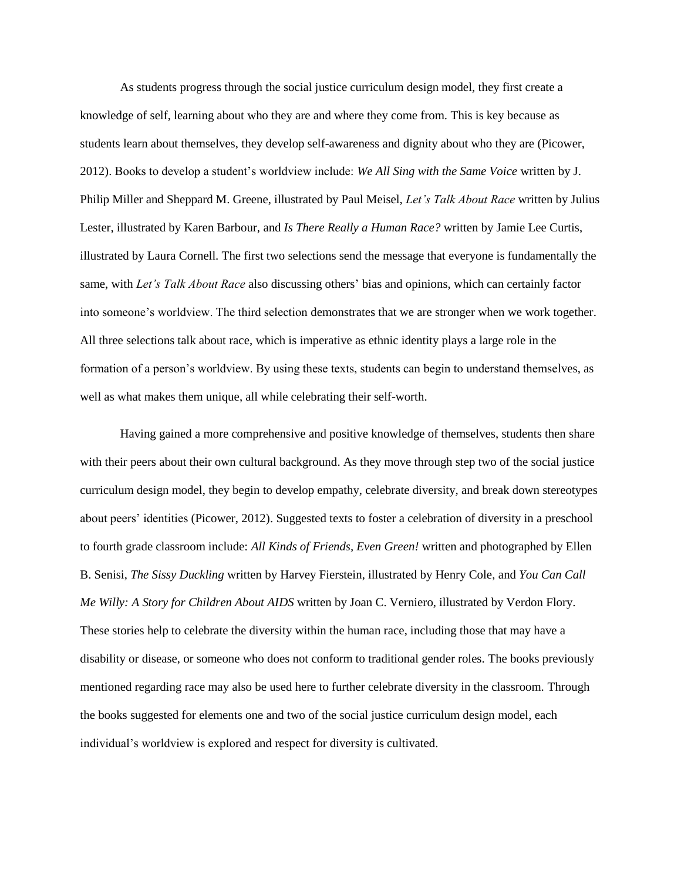As students progress through the social justice curriculum design model, they first create a knowledge of self, learning about who they are and where they come from. This is key because as students learn about themselves, they develop self-awareness and dignity about who they are (Picower, 2012). Books to develop a student's worldview include: *We All Sing with the Same Voice* written by J. Philip Miller and Sheppard M. Greene, illustrated by Paul Meisel, *Let's Talk About Race* written by Julius Lester, illustrated by Karen Barbour, and *Is There Really a Human Race?* written by Jamie Lee Curtis, illustrated by Laura Cornell. The first two selections send the message that everyone is fundamentally the same, with *Let's Talk About Race* also discussing others' bias and opinions, which can certainly factor into someone's worldview. The third selection demonstrates that we are stronger when we work together. All three selections talk about race, which is imperative as ethnic identity plays a large role in the formation of a person's worldview. By using these texts, students can begin to understand themselves, as well as what makes them unique, all while celebrating their self-worth.

Having gained a more comprehensive and positive knowledge of themselves, students then share with their peers about their own cultural background. As they move through step two of the social justice curriculum design model, they begin to develop empathy, celebrate diversity, and break down stereotypes about peers' identities (Picower, 2012). Suggested texts to foster a celebration of diversity in a preschool to fourth grade classroom include: *All Kinds of Friends, Even Green!* written and photographed by Ellen B. Senisi, *The Sissy Duckling* written by Harvey Fierstein, illustrated by Henry Cole, and *You Can Call Me Willy: A Story for Children About AIDS* written by Joan C. Verniero, illustrated by Verdon Flory. These stories help to celebrate the diversity within the human race, including those that may have a disability or disease, or someone who does not conform to traditional gender roles. The books previously mentioned regarding race may also be used here to further celebrate diversity in the classroom. Through the books suggested for elements one and two of the social justice curriculum design model, each individual's worldview is explored and respect for diversity is cultivated.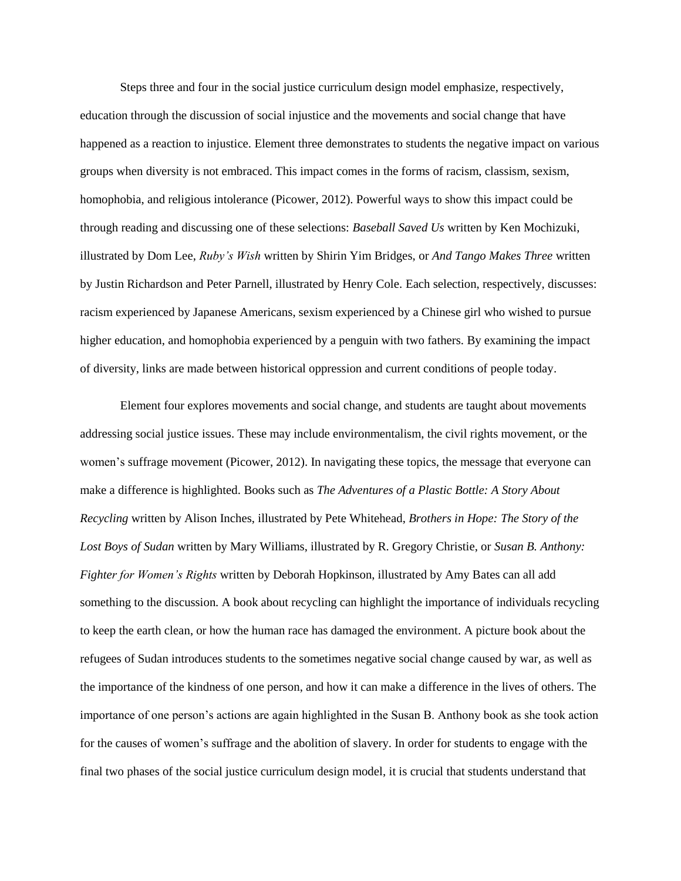Steps three and four in the social justice curriculum design model emphasize, respectively, education through the discussion of social injustice and the movements and social change that have happened as a reaction to injustice. Element three demonstrates to students the negative impact on various groups when diversity is not embraced. This impact comes in the forms of racism, classism, sexism, homophobia, and religious intolerance (Picower, 2012). Powerful ways to show this impact could be through reading and discussing one of these selections: *Baseball Saved Us* written by Ken Mochizuki, illustrated by Dom Lee, *Ruby's Wish* written by Shirin Yim Bridges, or *And Tango Makes Three* written by Justin Richardson and Peter Parnell, illustrated by Henry Cole. Each selection, respectively, discusses: racism experienced by Japanese Americans, sexism experienced by a Chinese girl who wished to pursue higher education, and homophobia experienced by a penguin with two fathers. By examining the impact of diversity, links are made between historical oppression and current conditions of people today.

Element four explores movements and social change, and students are taught about movements addressing social justice issues. These may include environmentalism, the civil rights movement, or the women's suffrage movement (Picower, 2012). In navigating these topics, the message that everyone can make a difference is highlighted. Books such as *The Adventures of a Plastic Bottle: A Story About Recycling* written by Alison Inches, illustrated by Pete Whitehead, *Brothers in Hope: The Story of the Lost Boys of Sudan* written by Mary Williams, illustrated by R. Gregory Christie, or *Susan B. Anthony: Fighter for Women's Rights* written by Deborah Hopkinson, illustrated by Amy Bates can all add something to the discussion. A book about recycling can highlight the importance of individuals recycling to keep the earth clean, or how the human race has damaged the environment. A picture book about the refugees of Sudan introduces students to the sometimes negative social change caused by war, as well as the importance of the kindness of one person, and how it can make a difference in the lives of others. The importance of one person's actions are again highlighted in the Susan B. Anthony book as she took action for the causes of women's suffrage and the abolition of slavery. In order for students to engage with the final two phases of the social justice curriculum design model, it is crucial that students understand that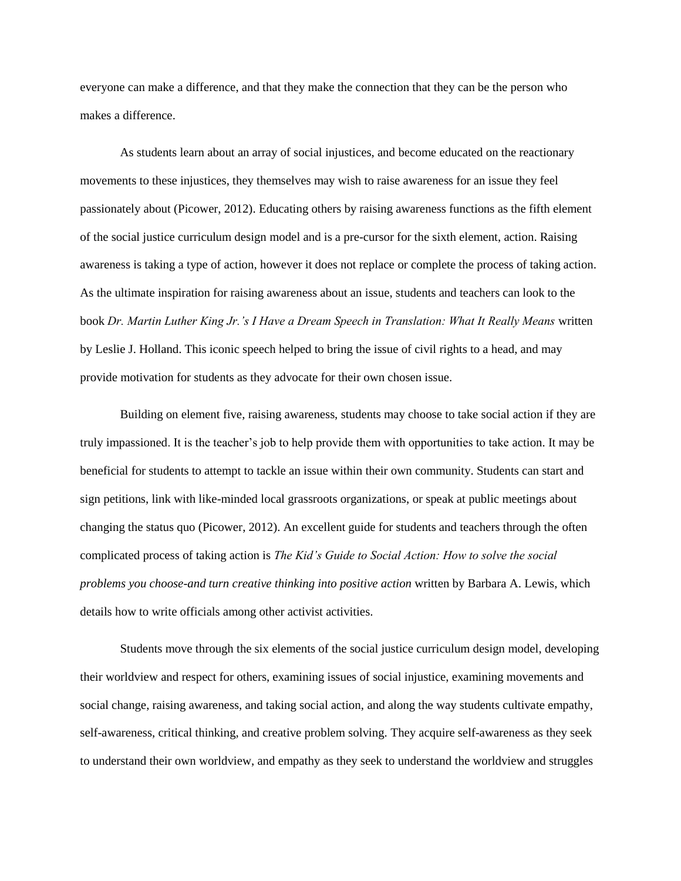everyone can make a difference, and that they make the connection that they can be the person who makes a difference.

As students learn about an array of social injustices, and become educated on the reactionary movements to these injustices, they themselves may wish to raise awareness for an issue they feel passionately about (Picower, 2012). Educating others by raising awareness functions as the fifth element of the social justice curriculum design model and is a pre-cursor for the sixth element, action. Raising awareness is taking a type of action, however it does not replace or complete the process of taking action. As the ultimate inspiration for raising awareness about an issue, students and teachers can look to the book *Dr. Martin Luther King Jr.'s I Have a Dream Speech in Translation: What It Really Means* written by Leslie J. Holland. This iconic speech helped to bring the issue of civil rights to a head, and may provide motivation for students as they advocate for their own chosen issue.

Building on element five, raising awareness, students may choose to take social action if they are truly impassioned. It is the teacher's job to help provide them with opportunities to take action. It may be beneficial for students to attempt to tackle an issue within their own community. Students can start and sign petitions, link with like-minded local grassroots organizations, or speak at public meetings about changing the status quo (Picower, 2012). An excellent guide for students and teachers through the often complicated process of taking action is *The Kid's Guide to Social Action: How to solve the social problems you choose-and turn creative thinking into positive action* written by Barbara A. Lewis, which details how to write officials among other activist activities.

Students move through the six elements of the social justice curriculum design model, developing their worldview and respect for others, examining issues of social injustice, examining movements and social change, raising awareness, and taking social action, and along the way students cultivate empathy, self-awareness, critical thinking, and creative problem solving. They acquire self-awareness as they seek to understand their own worldview, and empathy as they seek to understand the worldview and struggles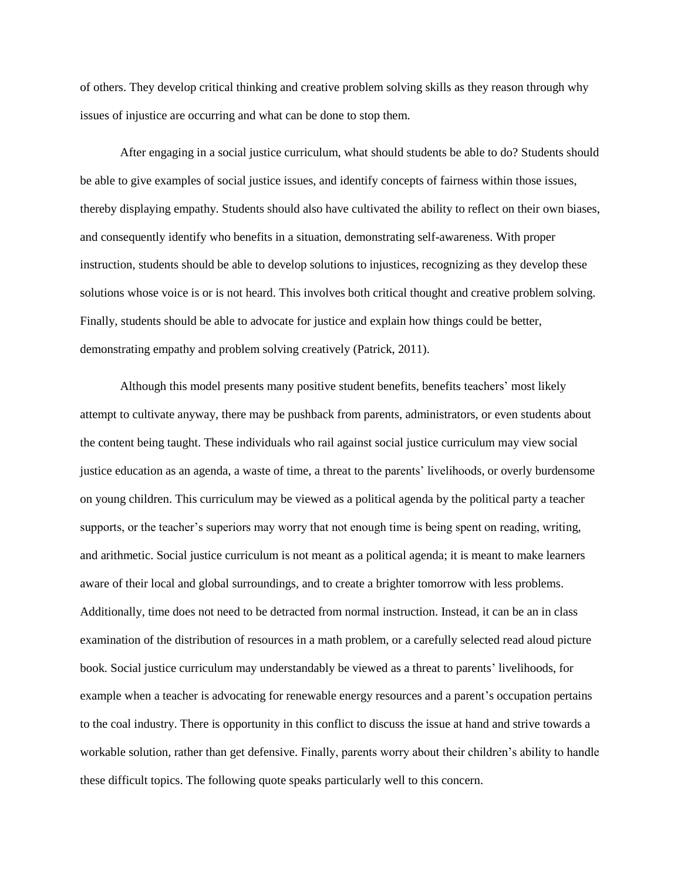of others. They develop critical thinking and creative problem solving skills as they reason through why issues of injustice are occurring and what can be done to stop them.

After engaging in a social justice curriculum, what should students be able to do? Students should be able to give examples of social justice issues, and identify concepts of fairness within those issues, thereby displaying empathy. Students should also have cultivated the ability to reflect on their own biases, and consequently identify who benefits in a situation, demonstrating self-awareness. With proper instruction, students should be able to develop solutions to injustices, recognizing as they develop these solutions whose voice is or is not heard. This involves both critical thought and creative problem solving. Finally, students should be able to advocate for justice and explain how things could be better, demonstrating empathy and problem solving creatively (Patrick, 2011).

Although this model presents many positive student benefits, benefits teachers' most likely attempt to cultivate anyway, there may be pushback from parents, administrators, or even students about the content being taught. These individuals who rail against social justice curriculum may view social justice education as an agenda, a waste of time, a threat to the parents' livelihoods, or overly burdensome on young children. This curriculum may be viewed as a political agenda by the political party a teacher supports, or the teacher's superiors may worry that not enough time is being spent on reading, writing, and arithmetic. Social justice curriculum is not meant as a political agenda; it is meant to make learners aware of their local and global surroundings, and to create a brighter tomorrow with less problems. Additionally, time does not need to be detracted from normal instruction. Instead, it can be an in class examination of the distribution of resources in a math problem, or a carefully selected read aloud picture book. Social justice curriculum may understandably be viewed as a threat to parents' livelihoods, for example when a teacher is advocating for renewable energy resources and a parent's occupation pertains to the coal industry. There is opportunity in this conflict to discuss the issue at hand and strive towards a workable solution, rather than get defensive. Finally, parents worry about their children's ability to handle these difficult topics. The following quote speaks particularly well to this concern.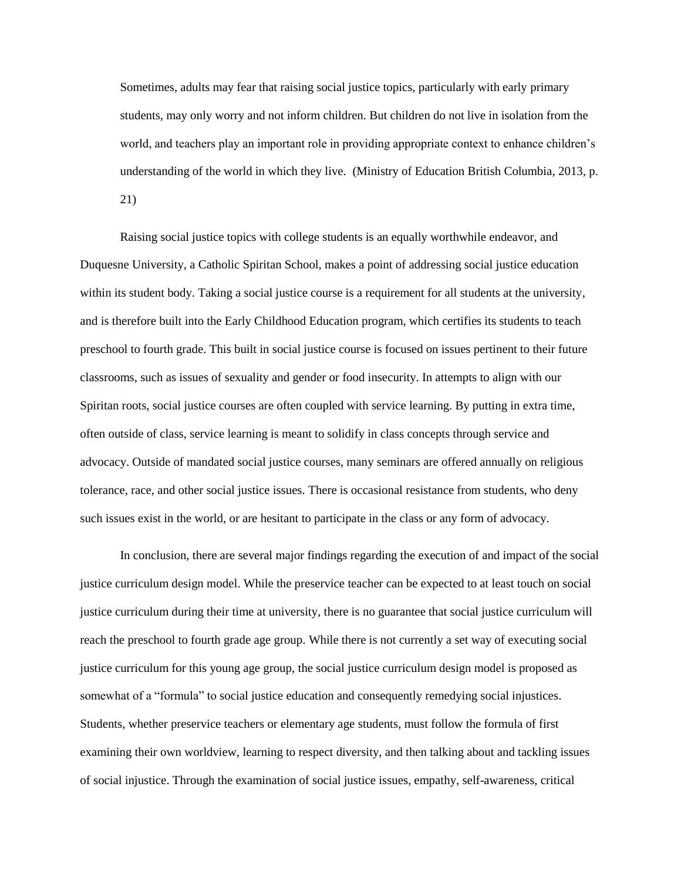Sometimes, adults may fear that raising social justice topics, particularly with early primary students, may only worry and not inform children. But children do not live in isolation from the world, and teachers play an important role in providing appropriate context to enhance children's understanding of the world in which they live. (Ministry of Education British Columbia, 2013, p. 21)

Raising social justice topics with college students is an equally worthwhile endeavor, and Duquesne University, a Catholic Spiritan School, makes a point of addressing social justice education within its student body. Taking a social justice course is a requirement for all students at the university, and is therefore built into the Early Childhood Education program, which certifies its students to teach preschool to fourth grade. This built in social justice course is focused on issues pertinent to their future classrooms, such as issues of sexuality and gender or food insecurity. In attempts to align with our Spiritan roots, social justice courses are often coupled with service learning. By putting in extra time, often outside of class, service learning is meant to solidify in class concepts through service and advocacy. Outside of mandated social justice courses, many seminars are offered annually on religious tolerance, race, and other social justice issues. There is occasional resistance from students, who deny such issues exist in the world, or are hesitant to participate in the class or any form of advocacy.

In conclusion, there are several major findings regarding the execution of and impact of the social justice curriculum design model. While the preservice teacher can be expected to at least touch on social justice curriculum during their time at university, there is no guarantee that social justice curriculum will reach the preschool to fourth grade age group. While there is not currently a set way of executing social justice curriculum for this young age group, the social justice curriculum design model is proposed as somewhat of a "formula" to social justice education and consequently remedying social injustices. Students, whether preservice teachers or elementary age students, must follow the formula of first examining their own worldview, learning to respect diversity, and then talking about and tackling issues of social injustice. Through the examination of social justice issues, empathy, self-awareness, critical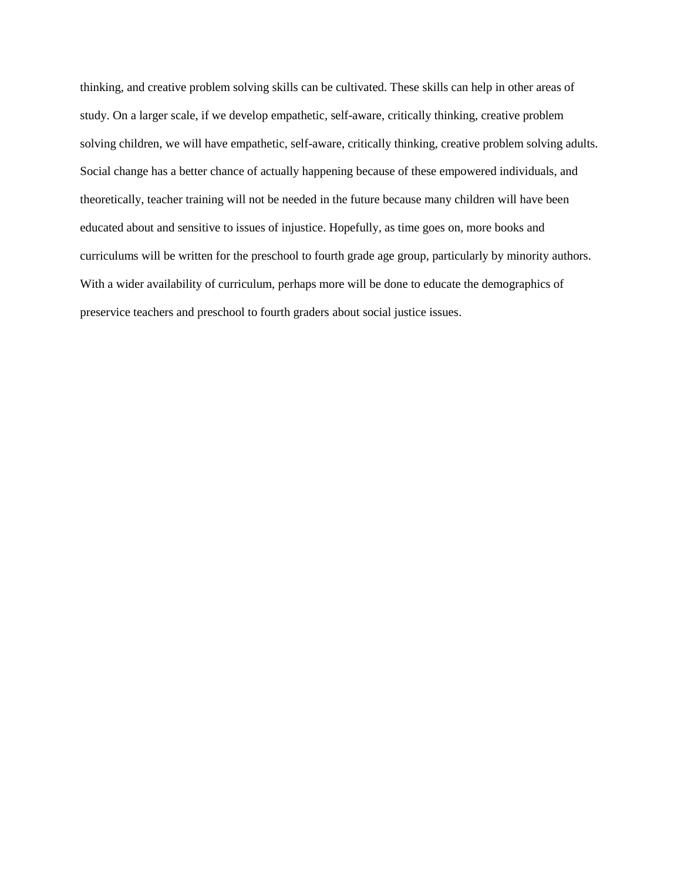thinking, and creative problem solving skills can be cultivated. These skills can help in other areas of study. On a larger scale, if we develop empathetic, self-aware, critically thinking, creative problem solving children, we will have empathetic, self-aware, critically thinking, creative problem solving adults. Social change has a better chance of actually happening because of these empowered individuals, and theoretically, teacher training will not be needed in the future because many children will have been educated about and sensitive to issues of injustice. Hopefully, as time goes on, more books and curriculums will be written for the preschool to fourth grade age group, particularly by minority authors. With a wider availability of curriculum, perhaps more will be done to educate the demographics of preservice teachers and preschool to fourth graders about social justice issues.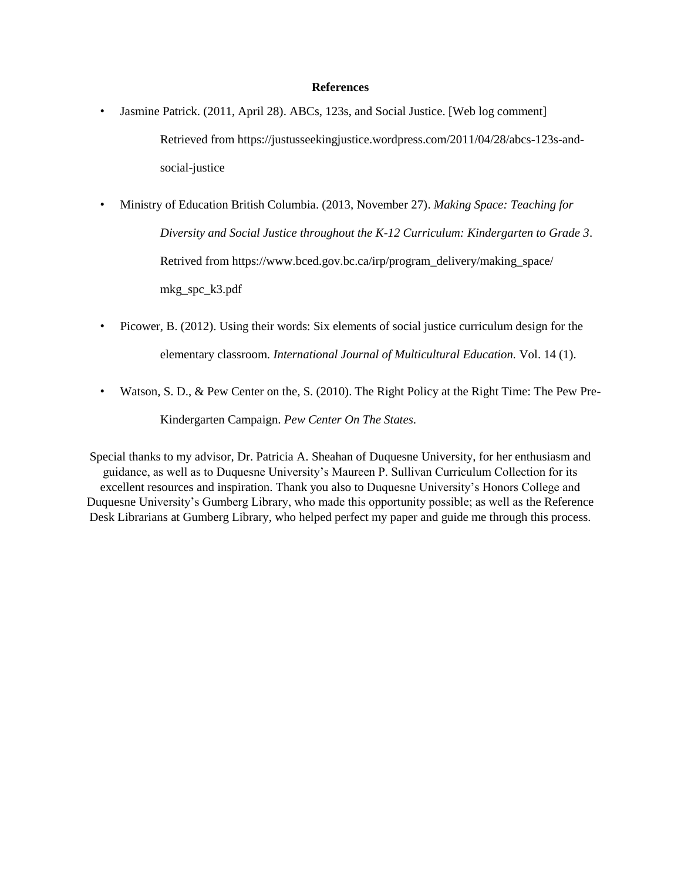#### **References**

- Jasmine Patrick. (2011, April 28). ABCs, 123s, and Social Justice. [Web log comment] Retrieved fro[m https://justusseekingjustice.wordpress.com/2011/04/28/abcs-123s-and](https://justusseekingjustice.wordpress.com/2011/04/28/abcs-123s-and-)social-justice
- Ministry of Education British Columbia. (2013, November 27). *Making Space: Teaching for Diversity and Social Justice throughout the K-12 Curriculum: Kindergarten to Grade 3*. Retrived from [https://www.bced.gov.bc.ca/irp/program\\_delivery/making\\_space/](https://www.bced.gov.bc.ca/irp/program_delivery/making_space/) mkg\_spc\_k3.pdf
- Picower, B. (2012). Using their words: Six elements of social justice curriculum design for the elementary classroom. *International Journal of Multicultural Education.* Vol. 14 (1).
- Watson, S. D., & Pew Center on the, S. (2010). The Right Policy at the Right Time: The Pew Pre-Kindergarten Campaign. *Pew Center On The States*.

Special thanks to my advisor, Dr. Patricia A. Sheahan of Duquesne University, for her enthusiasm and guidance, as well as to Duquesne University's Maureen P. Sullivan Curriculum Collection for its excellent resources and inspiration. Thank you also to Duquesne University's Honors College and Duquesne University's Gumberg Library, who made this opportunity possible; as well as the Reference Desk Librarians at Gumberg Library, who helped perfect my paper and guide me through this process.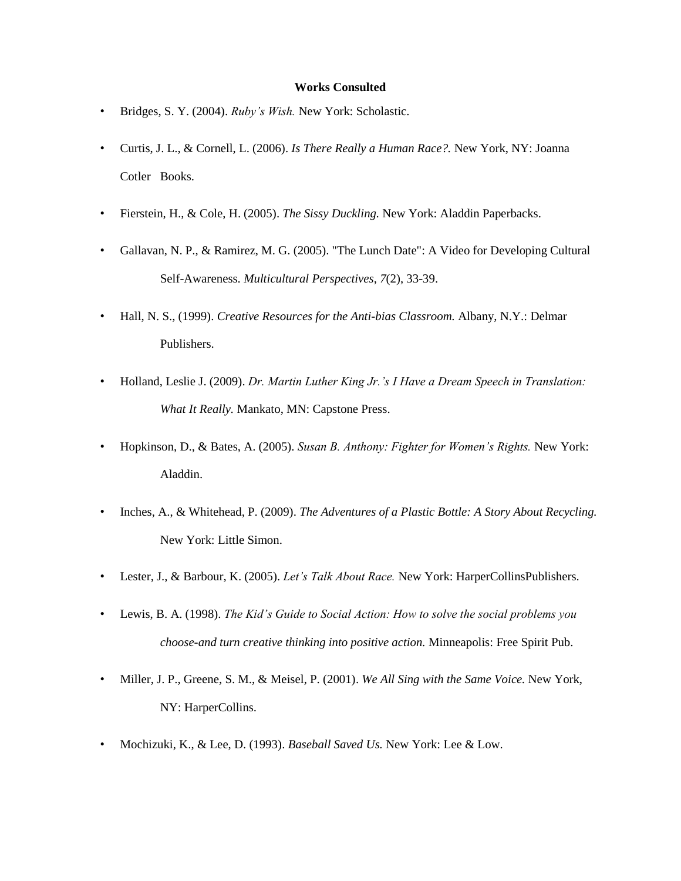#### **Works Consulted**

- Bridges, S. Y. (2004). *Ruby's Wish.* New York: Scholastic.
- Curtis, J. L., & Cornell, L. (2006). *Is There Really a Human Race?.* New York, NY: Joanna Cotler Books.
- Fierstein, H., & Cole, H. (2005). *The Sissy Duckling.* New York: Aladdin Paperbacks.
- Gallavan, N. P., & Ramirez, M. G. (2005). "The Lunch Date": A Video for Developing Cultural Self-Awareness. *Multicultural Perspectives*, *7*(2), 33-39.
- Hall, N. S., (1999). *Creative Resources for the Anti-bias Classroom.* Albany, N.Y.: Delmar Publishers.
- Holland, Leslie J. (2009). *Dr. Martin Luther King Jr.'s I Have a Dream Speech in Translation: What It Really.* Mankato, MN: Capstone Press.
- Hopkinson, D., & Bates, A. (2005). *Susan B. Anthony: Fighter for Women's Rights.* New York: Aladdin.
- Inches, A., & Whitehead, P. (2009). *The Adventures of a Plastic Bottle: A Story About Recycling.*  New York: Little Simon.
- Lester, J., & Barbour, K. (2005). *Let's Talk About Race.* New York: HarperCollinsPublishers.
- Lewis, B. A. (1998). *The Kid's Guide to Social Action: How to solve the social problems you choose-and turn creative thinking into positive action.* Minneapolis: Free Spirit Pub.
- Miller, J. P., Greene, S. M., & Meisel, P. (2001). *We All Sing with the Same Voice.* New York, NY: HarperCollins.
- Mochizuki, K., & Lee, D. (1993). *Baseball Saved Us.* New York: Lee & Low.